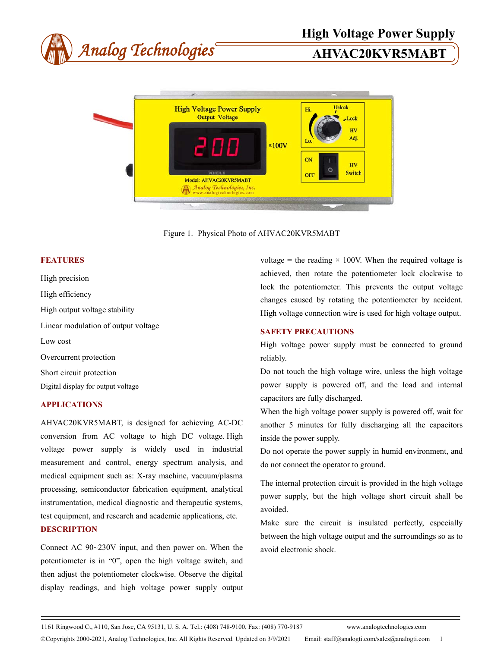



Figure 1. Physical Photo of AHVAC20KVR5MABT

### **FEATURES**

High precision High efficiency High output voltage stability Linear modulation of output voltage Low cost Overcurrent protection Short circuit protection Digital display for output voltage

# **APPLICATIONS**

AHVAC20KVR5MABT, is designed for achieving AC-DC conversion from AC voltage to high DC voltage. High voltage power supply is widely used in industrial measurement and control, energy spectrum analysis, and medical equipment such as: X-ray machine, vacuum/plasma processing, semiconductor fabrication equipment, analytical instrumentation, medical diagnostic and therapeutic systems, test equipment, and research and academic applications, etc.

# **DESCRIPTION**

Connect AC 90~230V input, and then power on. When the potentiometer is in "0", open the high voltage switch, and then adjust the potentiometer clockwise. Observe the digital display readings, and high voltage power supply output

voltage = the reading  $\times$  100V. When the required voltage is achieved, then rotate the potentiometer lock clockwise to lock the potentiometer. This prevents the output voltage changes caused by rotating the potentiometer by accident. High voltage connection wire is used for high voltage output.

# **SAFETY PRECAUTIONS**

High voltage power supply must be connected to ground reliably.

Do not touch the high voltage wire, unless the high voltage power supply is powered off, and the load and internal capacitors are fully discharged.

When the high voltage power supply is powered off, wait for another 5 minutes for fully discharging all the capacitors inside the power supply.

Do not operate the power supply in humid environment, and do not connect the operator to ground.

The internal protection circuit is provided in the high voltage power supply, but the high voltage short circuit shall be avoided.

Make sure the circuit is insulated perfectly, especially between the high voltage output and the surroundings so as to avoid electronic shock.

1161 Ringwood Ct, #110, San Jose, CA 95131, U. S. A. Tel.: (408) 748-9100, Fax: (408) 770-9187 www.analogtechnologies.com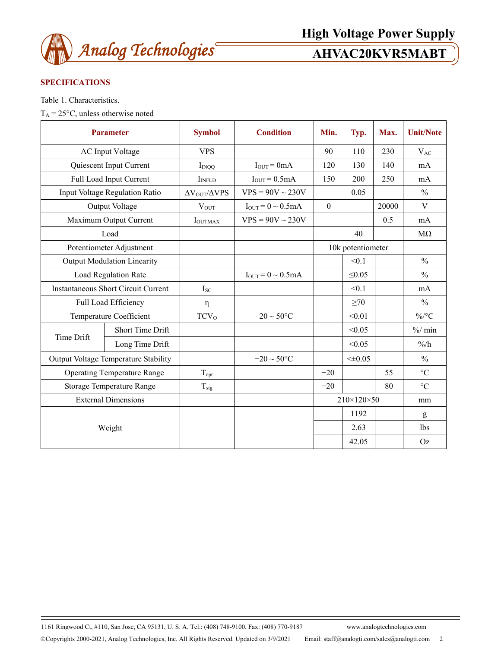

# **SPECIFICATIONS**

Table 1. Characteristics.

 $T_A = 25$ °C, unless otherwise noted

| <b>Parameter</b>                            |                         | <b>Symbol</b>                   | <b>Condition</b>          | Min.              | Typ.            | Max.  | <b>Unit/Note</b>  |
|---------------------------------------------|-------------------------|---------------------------------|---------------------------|-------------------|-----------------|-------|-------------------|
| <b>AC</b> Input Voltage                     |                         | <b>VPS</b>                      |                           | 90                | 110             | 230   | $V_{AC}$          |
|                                             | Quiescent Input Current | $I_{INOO}$                      | $I_{OUT} = 0mA$           | 120               | 130             | 140   | mA                |
|                                             | Full Load Input Current | I <sub>INFLD</sub>              | $IOUT = 0.5mA$            | 150               | 200             | 250   | mA                |
| Input Voltage Regulation Ratio              |                         | $\Delta V_{\rm OUT}/\Delta VPS$ | $VPS = 90V \sim 230V$     |                   | 0.05            |       | $\frac{0}{0}$     |
| Output Voltage                              |                         | $V_{OUT}$                       | $I_{OUT} = 0 \sim 0.5 mA$ | $\mathbf{0}$      |                 | 20000 | V                 |
| Maximum Output Current                      |                         | <b>I</b> OUTMAX                 | $VPS = 90V \sim 230V$     |                   |                 | 0.5   | mA                |
| Load                                        |                         |                                 |                           |                   | 40              |       | $M\Omega$         |
| Potentiometer Adjustment                    |                         |                                 |                           | 10k potentiometer |                 |       |                   |
| <b>Output Modulation Linearity</b>          |                         |                                 |                           |                   | < 0.1           |       | $\frac{0}{0}$     |
| <b>Load Regulation Rate</b>                 |                         |                                 | $I_{OUT} = 0 \sim 0.5 mA$ |                   | $\leq 0.05$     |       | $\frac{0}{0}$     |
| <b>Instantaneous Short Circuit Current</b>  |                         | $I_{SC}$                        |                           |                   | < 0.1           |       | mA                |
| Full Load Efficiency                        |                         | η                               |                           |                   | $\geq 70$       |       | $\frac{0}{0}$     |
| Temperature Coefficient                     |                         | TCV <sub>0</sub>                | $-20 \sim 50^{\circ}$ C   |                   | < 0.01          |       | $\%$ /°C          |
| Time Drift                                  | Short Time Drift        |                                 |                           |                   | < 0.05          |       | $\frac{9}{6}$ min |
|                                             | Long Time Drift         |                                 |                           |                   | < 0.05          |       | $\frac{9}{6}$     |
| <b>Output Voltage Temperature Stability</b> |                         |                                 | $-20 \sim 50$ °C          |                   | $\leq \pm 0.05$ |       | $\frac{0}{0}$     |
| <b>Operating Temperature Range</b>          |                         | $T_{\text{opr}}$                |                           | $-20$             |                 | 55    | $\rm ^{\circ}C$   |
| Storage Temperature Range                   |                         | $T_{\text{stg}}$                |                           | $-20$             |                 | 80    | $\rm ^{\circ}C$   |
| <b>External Dimensions</b>                  |                         |                                 |                           | 210×120×50        |                 | mm    |                   |
| Weight                                      |                         |                                 |                           |                   | 1192            |       | g                 |
|                                             |                         |                                 |                           |                   | 2.63            |       | lbs               |
|                                             |                         |                                 |                           |                   | 42.05           |       | Oz                |

1161 Ringwood Ct, #110, San Jose, CA 95131, U. S. A. Tel.: (408) 748-9100, Fax: (408) 770-9187 www.analogtechnologies.com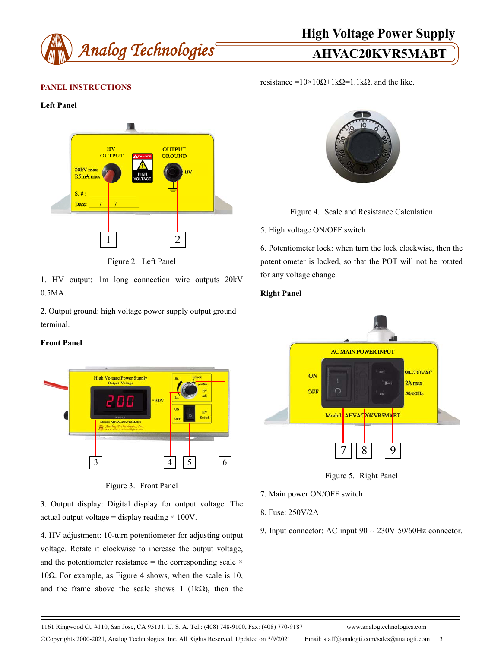

# **High Voltage Power Supply**

resistance =10×10Ω+1kΩ=1.1kΩ, and the like.

# **PANEL INSTRUCTIONS**

### **Left Panel**



Figure 2. Left Panel

1. HV output: 1m long connection wire outputs 20kV 0.5MA.

2. Output ground: high voltage power supply output ground terminal.

# **Front Panel**



Figure 3. Front Panel

3. Output display: Digital display for output voltage. The actual output voltage = display reading  $\times$  100V.

4. HV adjustment: 10-turn potentiometer for adjusting output voltage. Rotate it clockwise to increase the output voltage, and the potentiometer resistance = the corresponding scale  $\times$ 10Ω. For example, as Figure 4 shows, when the scale is 10, and the frame above the scale shows 1 (1k $\Omega$ ), then the



Figure 4. Scale and Resistance Calculation

### 5. High voltage ON/OFF switch

6. Potentiometer lock: when turn the lock clockwise, then the potentiometer is locked, so that the POT will not be rotated for any voltage change.

### **Right Panel**



Figure 5. Right Panel

- 7. Main power ON/OFF switch
- 8. Fuse: 250V/2A
- 9. Input connector: AC input  $90 \sim 230V$  50/60Hz connector.

1161 Ringwood Ct, #110, San Jose, CA 95131, U. S. A. Tel.: (408) 748-9100, Fax: (408) 770-9187 www.analogtechnologies.com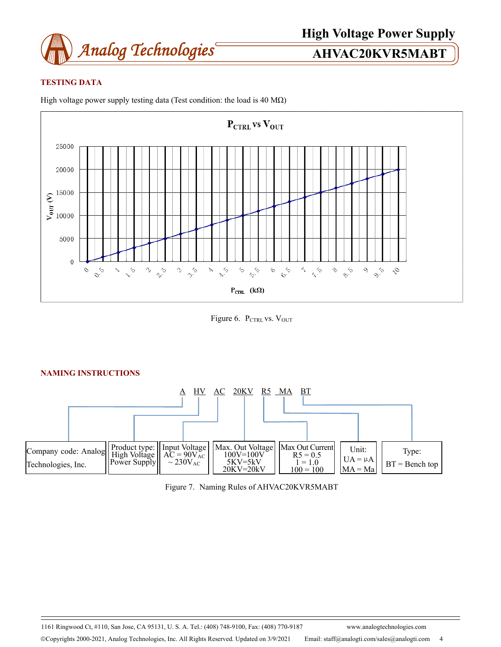

# **TESTING DATA**

High voltage power supply testing data (Test condition: the load is 40 M $\Omega$ )



Figure 6. PCTRL VS. VOUT



Figure 7. Naming Rules of AHVAC20KVR5MABT

1161 Ringwood Ct, #110, San Jose, CA 95131, U. S. A. Tel.: (408) 748-9100, Fax: (408) 770-9187 www.analogtechnologies.com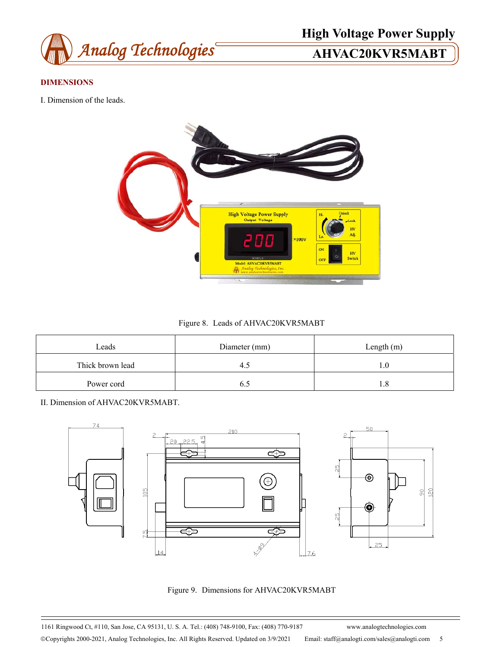

# **High Voltage Power Supply**

# **DIMENSIONS**

I. Dimension of the leads.



Figure 8. Leads of AHVAC20KVR5MABT

| Leads            | Diameter (mm) | Length $(m)$ |  |  |
|------------------|---------------|--------------|--|--|
| Thick brown lead |               |              |  |  |
| Power cord       |               |              |  |  |

II. Dimension of AHVAC20KVR5MABT.



Figure 9. Dimensions for AHVAC20KVR5MABT